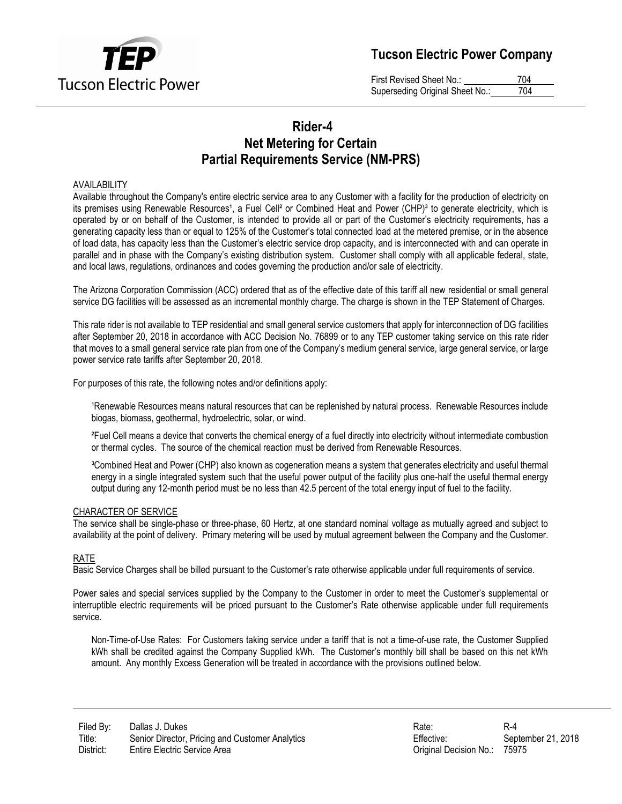

# **Tucson Electric Power Company**

First Revised Sheet No.: 704 Superseding Original Sheet No.: 704

## **Rider-4 Net Metering for Certain Partial Requirements Service (NM-PRS)**

### AVAILABILITY

Available throughout the Company's entire electric service area to any Customer with a facility for the production of electricity on its premises using Renewable Resources<sup>1</sup>, a Fuel Cell<sup>2</sup> or Combined Heat and Power (CHP)<sup>3</sup> to generate electricity, which is operated by or on behalf of the Customer, is intended to provide all or part of the Customer's electricity requirements, has a generating capacity less than or equal to 125% of the Customer's total connected load at the metered premise, or in the absence of load data, has capacity less than the Customer's electric service drop capacity, and is interconnected with and can operate in parallel and in phase with the Company's existing distribution system. Customer shall comply with all applicable federal, state, and local laws, regulations, ordinances and codes governing the production and/or sale of electricity.

The Arizona Corporation Commission (ACC) ordered that as of the effective date of this tariff all new residential or small general service DG facilities will be assessed as an incremental monthly charge. The charge is shown in the TEP Statement of Charges.

This rate rider is not available to TEP residential and small general service customers that apply for interconnection of DG facilities after September 20, 2018 in accordance with ACC Decision No. 76899 or to any TEP customer taking service on this rate rider that moves to a small general service rate plan from one of the Company's medium general service, large general service, or large power service rate tariffs after September 20, 2018.

For purposes of this rate, the following notes and/or definitions apply:

<sup>1</sup>Renewable Resources means natural resources that can be replenished by natural process. Renewable Resources include biogas, biomass, geothermal, hydroelectric, solar, or wind.

²Fuel Cell means a device that converts the chemical energy of a fuel directly into electricity without intermediate combustion or thermal cycles. The source of the chemical reaction must be derived from Renewable Resources.

³Combined Heat and Power (CHP) also known as cogeneration means a system that generates electricity and useful thermal energy in a single integrated system such that the useful power output of the facility plus one-half the useful thermal energy output during any 12-month period must be no less than 42.5 percent of the total energy input of fuel to the facility.

#### CHARACTER OF SERVICE

The service shall be single-phase or three-phase, 60 Hertz, at one standard nominal voltage as mutually agreed and subject to availability at the point of delivery. Primary metering will be used by mutual agreement between the Company and the Customer.

#### RATE

Basic Service Charges shall be billed pursuant to the Customer's rate otherwise applicable under full requirements of service.

Power sales and special services supplied by the Company to the Customer in order to meet the Customer's supplemental or interruptible electric requirements will be priced pursuant to the Customer's Rate otherwise applicable under full requirements service.

Non-Time-of-Use Rates: For Customers taking service under a tariff that is not a time-of-use rate, the Customer Supplied kWh shall be credited against the Company Supplied kWh. The Customer's monthly bill shall be based on this net kWh amount. Any monthly Excess Generation will be treated in accordance with the provisions outlined below.